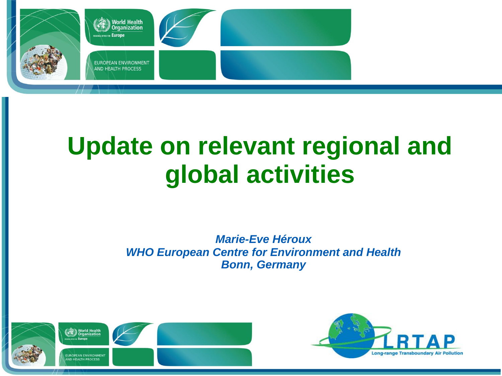

### **Update on relevant regional and global activities**

#### *Marie-Eve Héroux WHO European Centre for Environment and Health Bonn, Germany*



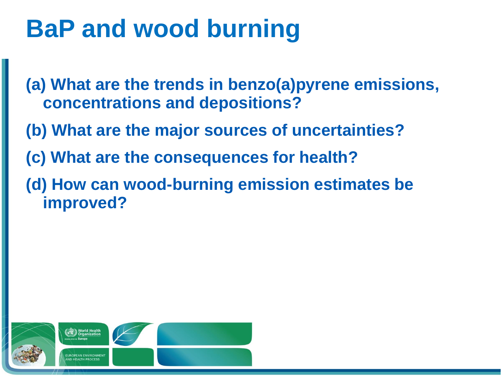# **BaP and wood burning**

**(a) What are the trends in benzo(a)pyrene emissions, concentrations and depositions?**

- **(b) What are the major sources of uncertainties?**
- **(c) What are the consequences for health?**
- **(d) How can wood-burning emission estimates be improved?**

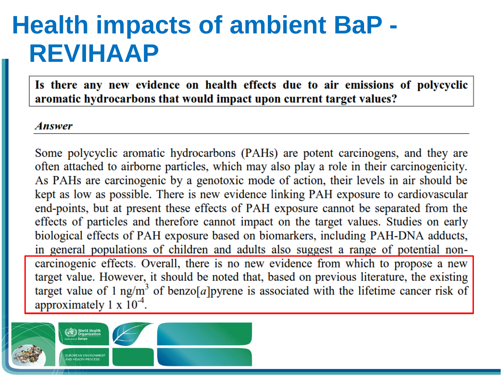# **Health impacts of ambient BaP - REVIHAAP**

Is there any new evidence on health effects due to air emissions of polycyclic aromatic hydrocarbons that would impact upon current target values?

#### **Answer**

Some polycyclic aromatic hydrocarbons (PAHs) are potent carcinogens, and they are often attached to airborne particles, which may also play a role in their carcinogenicity. As PAHs are carcinogenic by a genotoxic mode of action, their levels in air should be kept as low as possible. There is new evidence linking PAH exposure to cardiovascular end-points, but at present these effects of PAH exposure cannot be separated from the effects of particles and therefore cannot impact on the target values. Studies on early biological effects of PAH exposure based on biomarkers, including PAH-DNA adducts, in general populations of children and adults also suggest a range of potential noncarcinogenic effects. Overall, there is no new evidence from which to propose a new target value. However, it should be noted that, based on previous literature, the existing target value of 1 ng/m<sup>3</sup> of benzo[a]pyrene is associated with the lifetime cancer risk of approximately 1 x  $10^{-4}$ .

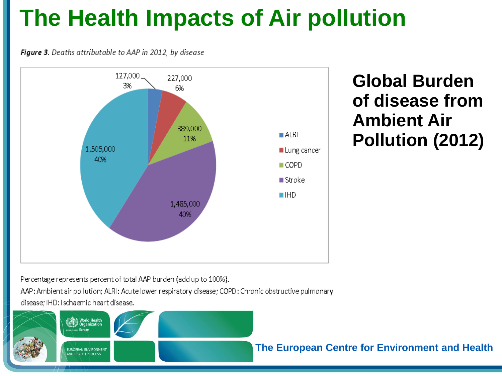#### **The Health Impacts of Air pollution**

Figure 3. Deaths attributable to AAP in 2012, by disease



**Global Burden of disease from Ambient Air Pollution (2012)** 

Percentage represents percent of total AAP burden (add up to 100%).

AAP: Ambient air pollution; ALRI: Acute lower respiratory disease; COPD: Chronic obstructive pulmonary disease; IHD: Ischaemic heart disease.

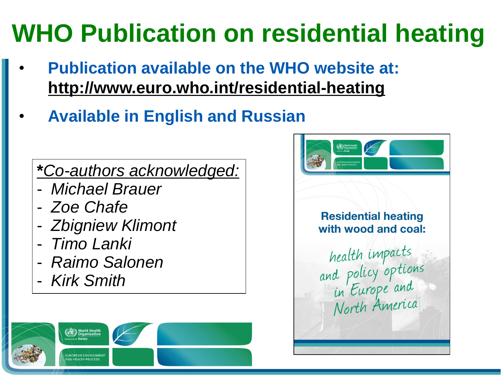# **WHO Publication on residential heating**

- **Publication available on the WHO website at: http://www.euro.who.int/residential-heating**
- **Available in English and Russian**

**\****Co-authors acknowledged:*

- *Michael Brauer*
- *Zoe Chafe*
- *Zbigniew Klimont*
- *Timo Lanki*
- *Raimo Salonen*
- *Kirk Smith*



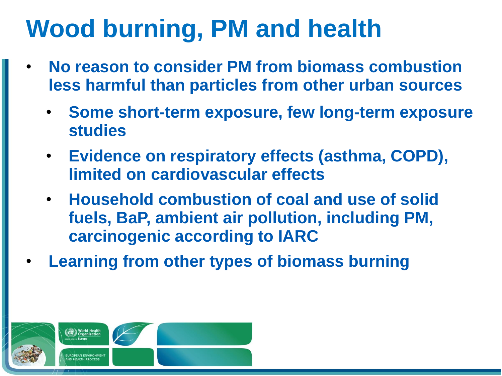# **Wood burning, PM and health**

- **No reason to consider PM from biomass combustion less harmful than particles from other urban sources**
	- **Some short-term exposure, few long-term exposure studies**
	- **Evidence on respiratory effects (asthma, COPD), limited on cardiovascular effects**
	- **Household combustion of coal and use of solid fuels, BaP, ambient air pollution, including PM, carcinogenic according to IARC**
- **Learning from other types of biomass burning**

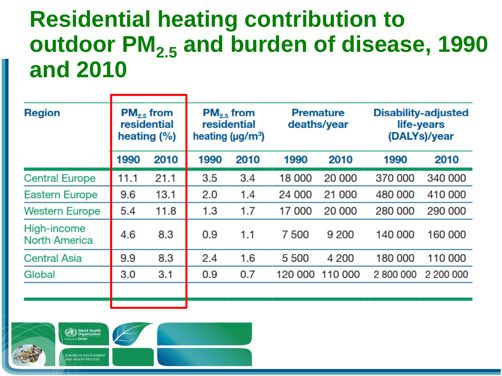#### **Residential heating contribution to outdoor PM2.5 and burden of disease, 1990 and 2010**

| <b>Region</b>                       | $PM_{2.5}$ from<br>residential<br>heating $(\%)$ |      | $PM_{2.5}$ from<br>residential<br>heating ( $\mu$ g/m <sup>3</sup> ) |      | <b>Premature</b><br>deaths/year |         | <b>Disability-adjusted</b><br>life-years<br>(DALYs)/year |           |
|-------------------------------------|--------------------------------------------------|------|----------------------------------------------------------------------|------|---------------------------------|---------|----------------------------------------------------------|-----------|
|                                     | 1990                                             | 2010 | 1990                                                                 | 2010 | 1990                            | 2010    | 1990                                                     | 2010      |
| <b>Central Europe</b>               | 11.1                                             | 21.1 | 3.5                                                                  | 3.4  | 18 000                          | 20 000  | 370 000                                                  | 340 000   |
| Eastern Europe                      | 9.6                                              | 13.1 | 2.0                                                                  | 1.4  | 24 000                          | 21 000  | 480 000                                                  | 410 000   |
| <b>Western Europe</b>               | 5.4                                              | 11.8 | 1.3                                                                  | 1.7  | 17 000                          | 20 000  | 280 000                                                  | 290 000   |
| High-income<br><b>North America</b> | 4.6                                              | 8.3  | 0.9                                                                  | 1.1  | 7 500                           | 9 200   | 140 000                                                  | 160 000   |
| <b>Central Asia</b>                 | 9.9                                              | 8.3  | 2.4                                                                  | 1.6  | 5 500                           | 4 200   | 180 000                                                  | 110 000   |
| Global                              | 3.0                                              | 3.1  | 0.9                                                                  | 0.7  | 120 000                         | 110 000 | 2 800 000                                                | 2 200 000 |
|                                     |                                                  |      |                                                                      |      |                                 |         |                                                          |           |
|                                     |                                                  |      |                                                                      |      |                                 |         |                                                          |           |

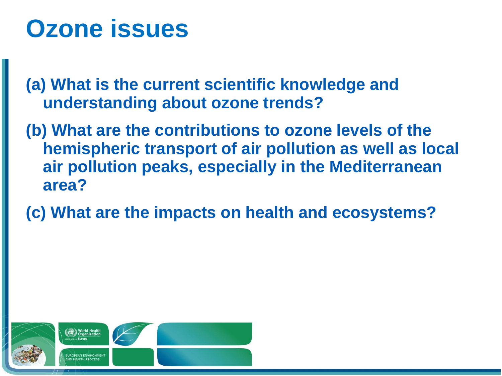#### **Ozone issues**

**(a) What is the current scientific knowledge and understanding about ozone trends?** 

- **(b) What are the contributions to ozone levels of the hemispheric transport of air pollution as well as local air pollution peaks, especially in the Mediterranean area?**
- **(c) What are the impacts on health and ecosystems?**

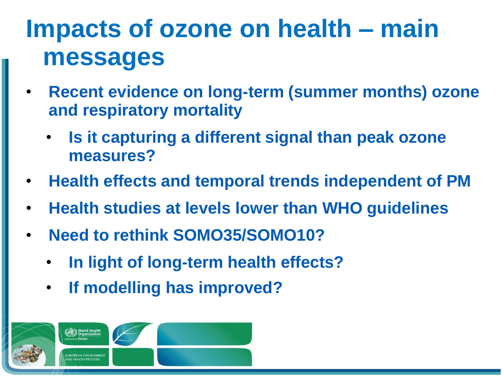# **Impacts of ozone on health – main messages**

- **Recent evidence on long-term (summer months) ozone and respiratory mortality**
	- **Is it capturing a different signal than peak ozone measures?**
- **Health effects and temporal trends independent of PM**
- **Health studies at levels lower than WHO guidelines**
- **Need to rethink SOMO35/SOMO10?**
	- **In light of long-term health effects?**
	- **If modelling has improved?**

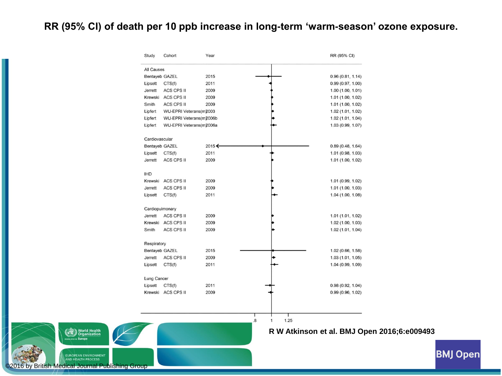#### **RR (95% CI) of death per 10 ppb increase in long-term 'warm-season' ozone exposure.**

| Study           | Cohort                  | Year   |                                  | RR (95% CI)       |
|-----------------|-------------------------|--------|----------------------------------|-------------------|
| All Causes      |                         |        |                                  |                   |
|                 | <b>Bentayeb GAZEL</b>   | 2015   |                                  | 0.96(0.81, 1.14)  |
| Lipsett         | CTS(f)                  | 2011   |                                  | 0.99(0.97, 1.00)  |
| <b>Jerrett</b>  | <b>ACS CPS II</b>       | 2009   |                                  | 1.00(1.00, 1.01)  |
| Krewski         | <b>ACS CPS II</b>       | 2009   |                                  | 1.01 (1.00, 1.02) |
| Smith           | <b>ACS CPS II</b>       | 2009   |                                  | 1.01(1.00, 1.02)  |
| Lipfert         | WU-EPRI Veterans(m)2003 |        |                                  | 1.02 (1.01, 1.02) |
| Lipfert         | WU-EPRI Veterans(m2006b |        |                                  | 1.02 (1.01, 1.04) |
| Lipfert         | WU-EPRI Veterans(m2006a |        |                                  | 1.03 (0.99, 1.07) |
| Cardiovascular  |                         |        |                                  |                   |
|                 | <b>Bentayeb GAZEL</b>   | 2015 ← |                                  | 0.89(0.48, 1.64)  |
| Lipsett         | CTS(f)                  | 2011   |                                  | 1.01 (0.98, 1.03) |
| <b>Jerrett</b>  | <b>ACS CPS II</b>       | 2009   |                                  | 1.01 (1.00, 1.02) |
| <b>IHD</b>      |                         |        |                                  |                   |
| Krewski         | <b>ACS CPS II</b>       | 2009   |                                  | 1.01 (0.99, 1.02) |
| <b>Jerrett</b>  | <b>ACS CPS II</b>       | 2009   |                                  | 1.01 (1.00, 1.03) |
| Lipsett         | CTS(f)                  | 2011   |                                  | 1.04 (1.00, 1.08) |
| Cardiopulmonary |                         |        |                                  |                   |
| Jerrett         | <b>ACS CPS II</b>       | 2009   |                                  | 1.01 (1.01, 1.02) |
| Krewski         | <b>ACS CPS II</b>       | 2009   |                                  | 1.02(1.00, 1.03)  |
| Smith           | <b>ACS CPS II</b>       | 2009   |                                  | 1.02 (1.01, 1.04) |
| Respiratory     |                         |        |                                  |                   |
|                 | <b>Bentayeb GAZEL</b>   | 2015   |                                  | 1.02 (0.66, 1.58) |
| <b>Jerrett</b>  | <b>ACS CPS II</b>       | 2009   |                                  | 1.03(1.01, 1.05)  |
| Lipsett         | CTS(f)                  | 2011   |                                  | 1.04 (0.99, 1.09) |
| Lung Cancer     |                         |        |                                  |                   |
| Lipsett         | CTS(f)                  | 2011   |                                  | 0.98(0.92, 1.04)  |
| Krewski         | ACS CPS II              | 2009   |                                  | 0.99(0.96, 1.02)  |
|                 |                         |        |                                  |                   |
|                 |                         |        | Ι<br>8 <sup>2</sup><br>1.25<br>1 |                   |
|                 |                         |        |                                  |                   |

British Medical Journal Publishing Group

**World Health**<br>Organization

**UROPEAN ENVIRONMEN IND HEAITH PROCES** 

#### **R W Atkinson et al. BMJ Open 2016;6:e009493**

**BMJ Open**